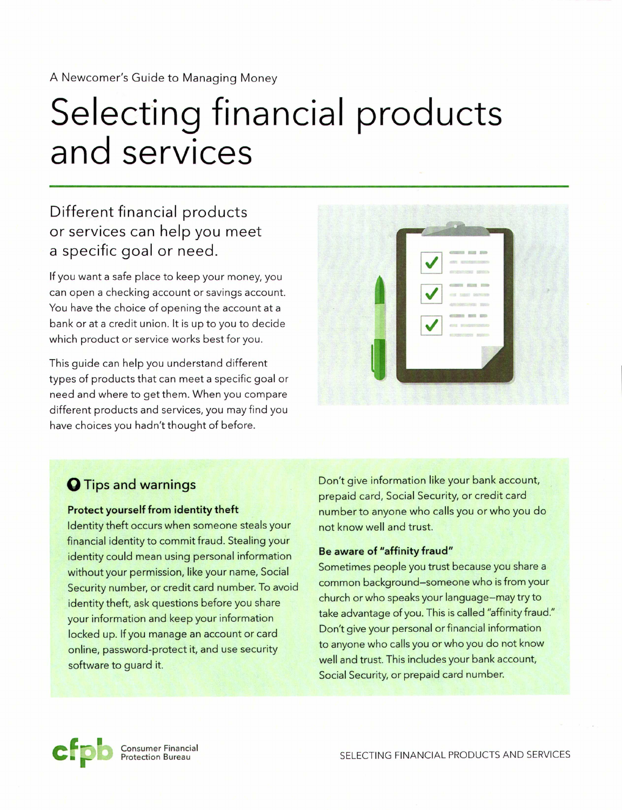A Newcomer's Guide to Managing Money

# **Selecting financial products and services**

## **Different financial products or services can help you meet a specific goal or need.**

If you want a safe place to keep your money, you can open a checking account or savings account. You have the choice of opening the account at a bank or at a credit union. It is up to you to decide which product or service works best for you.

This guide can help you understand different types of products that can meet a specific goal or need and where to get them. When you compare different products and services, you may find you have choices you hadn't thought of before.



### **oTips and warnings**

### **Protect yourself from identity theft**

Identity theft occurs when someone steals your financial identity to commit fraud. Stealing your identity could mean using personal information without your permission, like your name, Social Security number, or credit card number. To avoid identity theft, ask questions before you share your information and keep your information locked up. If you manage an account or card online, password-protect it, and use security software to guard it.

Don't give information like your bank account, prepaid card, Social Security, or credit card number to anyone who calls you or who you do not know well and trust.

### **Be aware of "affinity fraud"**

Sometimes people you trust because you share a common background-someone who is from your church or who speaks your language-may try to take advantage of you. This is called "affinity fraud." Don't give your personal or financial information to anyone who calls you or who you do not know well and trust. This includes your bank account, Social Security, or prepaid card number.



Consumer Financial Protection Bureau

SELECTING FINANCIAL PRODUCTS AND SERVICES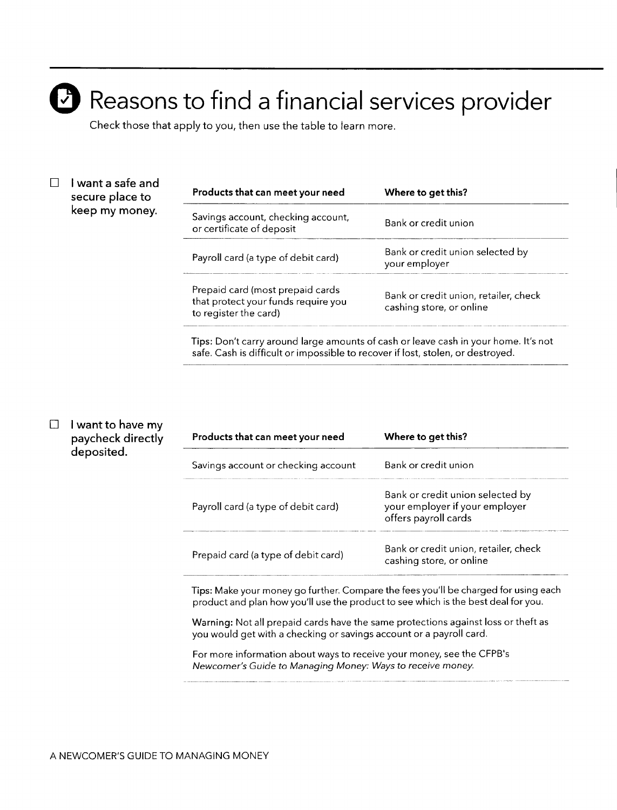# Reasons to find a financial services provider

Check those that apply to you, then use the table to learn more.

### $\Box$  I want a safe and secure place to keep my money.

| Products that can meet your need                                                                 | Where to get this?                                                |  |
|--------------------------------------------------------------------------------------------------|-------------------------------------------------------------------|--|
| Savings account, checking account,<br>or certificate of deposit                                  | Bank or credit union                                              |  |
| Payroll card (a type of debit card)                                                              | Bank or credit union selected by<br>your employer                 |  |
| Prepaid card (most prepaid cards<br>that protect your funds require you<br>to register the card) | Bank or credit union, retailer, check<br>cashing store, or online |  |

Tips: Don't carry around large amounts of cash or leave cash in your home. It's not safe. Cash is difficult or impossible to recover if lost, stolen, or destroyed.

### $\square$  I want to have my paycheck directly deposited.

| Products that can meet your need    | Where to get this?                                                                         |
|-------------------------------------|--------------------------------------------------------------------------------------------|
| Savings account or checking account | Bank or credit union                                                                       |
| Payroll card (a type of debit card) | Bank or credit union selected by<br>your employer if your employer<br>offers payroll cards |
| Prepaid card (a type of debit card) | Bank or credit union, retailer, check<br>cashing store, or online                          |

Tips: Make your money go further. Compare the fees you'll be charged for using each product and plan how you'll use the product to see which is the best deal for you.

Warning: Not all prepaid cards have the same protections against loss or theft as you would get with a checking or savings account or a payroll card.

For more information about ways to receive your money, see the CFPB's *Newcomer's Guide* to *Managing Money: Ways*to *receive money*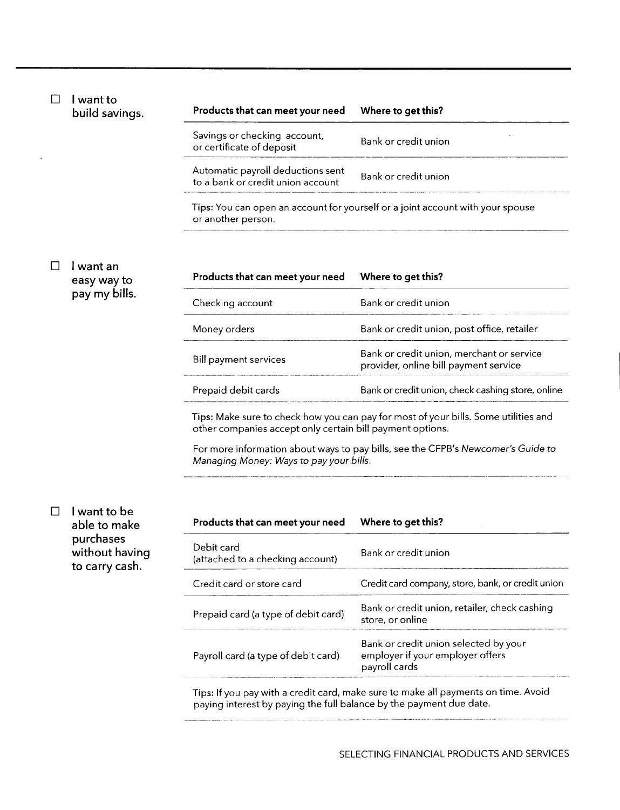|  | I want to<br>build savings.                   | Products that can meet your need                                                                                                                 | Where to get this?                                                                         |  |
|--|-----------------------------------------------|--------------------------------------------------------------------------------------------------------------------------------------------------|--------------------------------------------------------------------------------------------|--|
|  |                                               | Savings or checking account,<br>or certificate of deposit                                                                                        | Bank or credit union                                                                       |  |
|  |                                               | Automatic payroll deductions sent<br>to a bank or credit union account                                                                           | Bank or credit union                                                                       |  |
|  |                                               | Tips: You can open an account for yourself or a joint account with your spouse<br>or another person.                                             |                                                                                            |  |
|  | l want an<br>easy way to                      | Products that can meet your need                                                                                                                 | Where to get this?                                                                         |  |
|  | pay my bills.                                 | Checking account                                                                                                                                 | Bank or credit union                                                                       |  |
|  |                                               | Money orders                                                                                                                                     | Bank or credit union, post office, retailer                                                |  |
|  |                                               | <b>Bill payment services</b>                                                                                                                     | Bank or credit union, merchant or service<br>provider, online bill payment service         |  |
|  |                                               | Prepaid debit cards                                                                                                                              | Bank or credit union, check cashing store, online                                          |  |
|  |                                               | Tips: Make sure to check how you can pay for most of your bills. Some utilities and<br>other companies accept only certain bill payment options. |                                                                                            |  |
|  |                                               | For more information about ways to pay bills, see the CFPB's Newcomer's Guide to<br>Managing Money: Ways to pay your bills.                      |                                                                                            |  |
|  | I want to be                                  |                                                                                                                                                  |                                                                                            |  |
|  | able to make                                  | Products that can meet your need                                                                                                                 | Where to get this?                                                                         |  |
|  | purchases<br>without having<br>to carry cash. | Debit card<br>(attached to a checking account)                                                                                                   | Bank or credit union                                                                       |  |
|  |                                               | Credit card or store card                                                                                                                        | Credit card company, store, bank, or credit union                                          |  |
|  |                                               | Prepaid card (a type of debit card)                                                                                                              | Bank or credit union, retailer, check cashing<br>store, or online                          |  |
|  |                                               | Payroll card (a type of debit card)                                                                                                              | Bank or credit union selected by your<br>employer if your employer offers<br>payroll cards |  |
|  |                                               | paying interest by paying the full balance by the payment due date.                                                                              | Tips: If you pay with a credit card, make sure to make all payments on time. Avoid         |  |

 $\bar{\phantom{a}}$